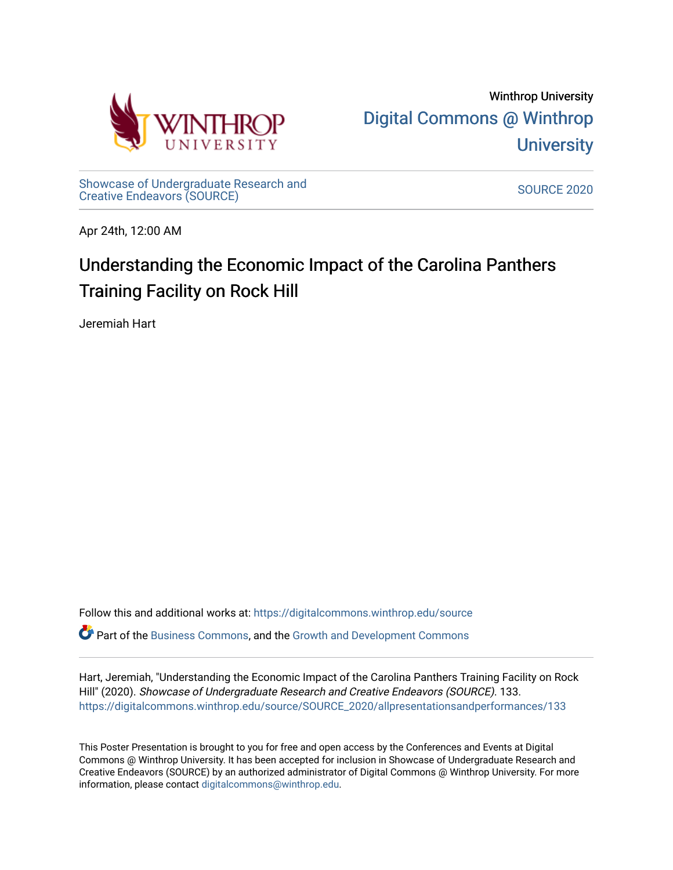

[Showcase of Undergraduate Research and](https://digitalcommons.winthrop.edu/source) Showcase of Ondergraduate Research and Source Source Source 2020<br>Creative Endeavors (SOURCE)

Apr 24th, 12:00 AM

# Understanding the Economic Impact of the Carolina Panthers Training Facility on Rock Hill

Jeremiah Hart

Follow this and additional works at: [https://digitalcommons.winthrop.edu/source](https://digitalcommons.winthrop.edu/source?utm_source=digitalcommons.winthrop.edu%2Fsource%2FSOURCE_2020%2Fallpresentationsandperformances%2F133&utm_medium=PDF&utm_campaign=PDFCoverPages)

Part of the [Business Commons](http://network.bepress.com/hgg/discipline/622?utm_source=digitalcommons.winthrop.edu%2Fsource%2FSOURCE_2020%2Fallpresentationsandperformances%2F133&utm_medium=PDF&utm_campaign=PDFCoverPages), and the [Growth and Development Commons](http://network.bepress.com/hgg/discipline/346?utm_source=digitalcommons.winthrop.edu%2Fsource%2FSOURCE_2020%2Fallpresentationsandperformances%2F133&utm_medium=PDF&utm_campaign=PDFCoverPages) 

Hart, Jeremiah, "Understanding the Economic Impact of the Carolina Panthers Training Facility on Rock Hill" (2020). Showcase of Undergraduate Research and Creative Endeavors (SOURCE). 133. [https://digitalcommons.winthrop.edu/source/SOURCE\\_2020/allpresentationsandperformances/133](https://digitalcommons.winthrop.edu/source/SOURCE_2020/allpresentationsandperformances/133?utm_source=digitalcommons.winthrop.edu%2Fsource%2FSOURCE_2020%2Fallpresentationsandperformances%2F133&utm_medium=PDF&utm_campaign=PDFCoverPages)

This Poster Presentation is brought to you for free and open access by the Conferences and Events at Digital Commons @ Winthrop University. It has been accepted for inclusion in Showcase of Undergraduate Research and Creative Endeavors (SOURCE) by an authorized administrator of Digital Commons @ Winthrop University. For more information, please contact [digitalcommons@winthrop.edu.](mailto:digitalcommons@winthrop.edu)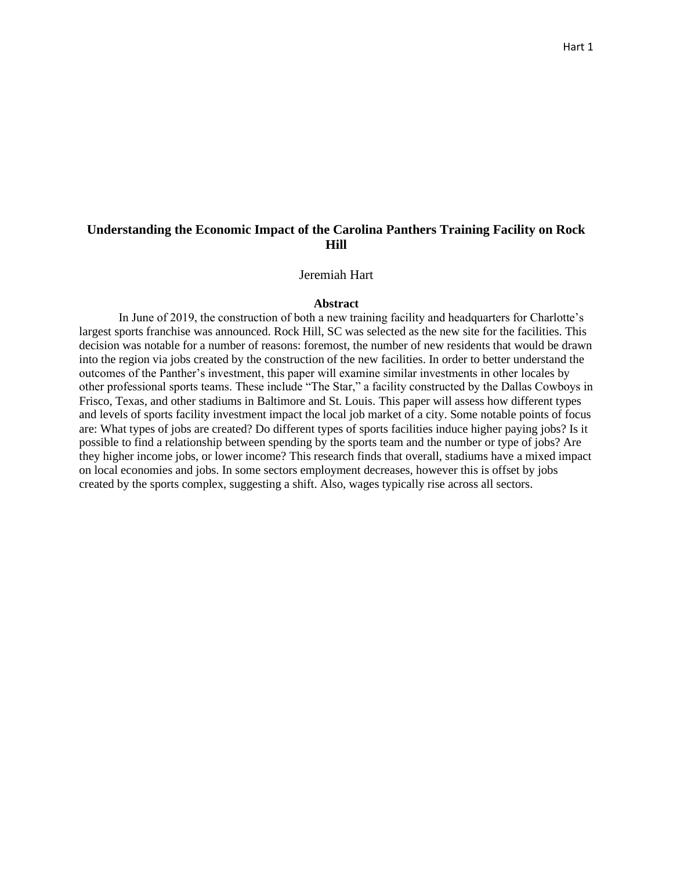## **Understanding the Economic Impact of the Carolina Panthers Training Facility on Rock Hill**

## Jeremiah Hart

## **Abstract**

In June of 2019, the construction of both a new training facility and headquarters for Charlotte's largest sports franchise was announced. Rock Hill, SC was selected as the new site for the facilities. This decision was notable for a number of reasons: foremost, the number of new residents that would be drawn into the region via jobs created by the construction of the new facilities. In order to better understand the outcomes of the Panther's investment, this paper will examine similar investments in other locales by other professional sports teams. These include "The Star," a facility constructed by the Dallas Cowboys in Frisco, Texas, and other stadiums in Baltimore and St. Louis. This paper will assess how different types and levels of sports facility investment impact the local job market of a city. Some notable points of focus are: What types of jobs are created? Do different types of sports facilities induce higher paying jobs? Is it possible to find a relationship between spending by the sports team and the number or type of jobs? Are they higher income jobs, or lower income? This research finds that overall, stadiums have a mixed impact on local economies and jobs. In some sectors employment decreases, however this is offset by jobs created by the sports complex, suggesting a shift. Also, wages typically rise across all sectors.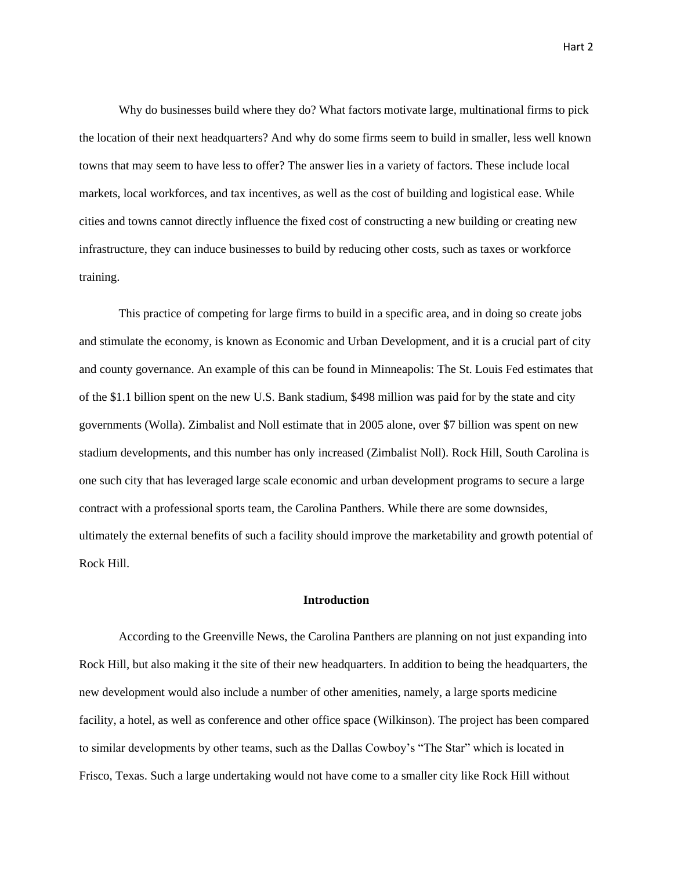Why do businesses build where they do? What factors motivate large, multinational firms to pick the location of their next headquarters? And why do some firms seem to build in smaller, less well known towns that may seem to have less to offer? The answer lies in a variety of factors. These include local markets, local workforces, and tax incentives, as well as the cost of building and logistical ease. While cities and towns cannot directly influence the fixed cost of constructing a new building or creating new infrastructure, they can induce businesses to build by reducing other costs, such as taxes or workforce training.

This practice of competing for large firms to build in a specific area, and in doing so create jobs and stimulate the economy, is known as Economic and Urban Development, and it is a crucial part of city and county governance. An example of this can be found in Minneapolis: The St. Louis Fed estimates that of the \$1.1 billion spent on the new U.S. Bank stadium, \$498 million was paid for by the state and city governments (Wolla). Zimbalist and Noll estimate that in 2005 alone, over \$7 billion was spent on new stadium developments, and this number has only increased (Zimbalist Noll). Rock Hill, South Carolina is one such city that has leveraged large scale economic and urban development programs to secure a large contract with a professional sports team, the Carolina Panthers. While there are some downsides, ultimately the external benefits of such a facility should improve the marketability and growth potential of Rock Hill.

## **Introduction**

According to the Greenville News, the Carolina Panthers are planning on not just expanding into Rock Hill, but also making it the site of their new headquarters. In addition to being the headquarters, the new development would also include a number of other amenities, namely, a large sports medicine facility, a hotel, as well as conference and other office space (Wilkinson). The project has been compared to similar developments by other teams, such as the Dallas Cowboy's "The Star" which is located in Frisco, Texas. Such a large undertaking would not have come to a smaller city like Rock Hill without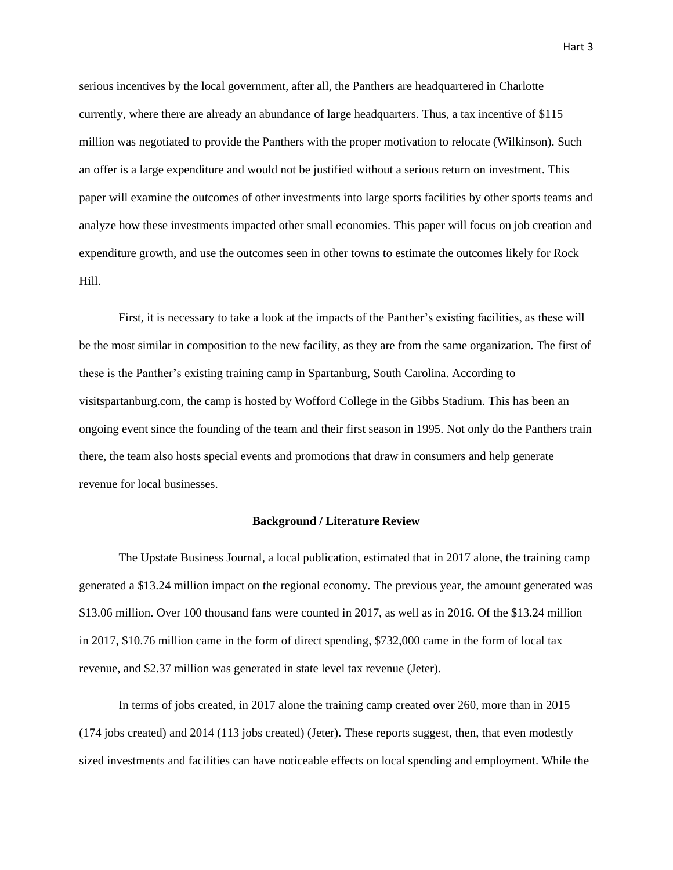serious incentives by the local government, after all, the Panthers are headquartered in Charlotte currently, where there are already an abundance of large headquarters. Thus, a tax incentive of \$115 million was negotiated to provide the Panthers with the proper motivation to relocate (Wilkinson). Such an offer is a large expenditure and would not be justified without a serious return on investment. This paper will examine the outcomes of other investments into large sports facilities by other sports teams and analyze how these investments impacted other small economies. This paper will focus on job creation and expenditure growth, and use the outcomes seen in other towns to estimate the outcomes likely for Rock Hill.

First, it is necessary to take a look at the impacts of the Panther's existing facilities, as these will be the most similar in composition to the new facility, as they are from the same organization. The first of these is the Panther's existing training camp in Spartanburg, South Carolina. According to visitspartanburg.com, the camp is hosted by Wofford College in the Gibbs Stadium. This has been an ongoing event since the founding of the team and their first season in 1995. Not only do the Panthers train there, the team also hosts special events and promotions that draw in consumers and help generate revenue for local businesses.

## **Background / Literature Review**

The Upstate Business Journal, a local publication, estimated that in 2017 alone, the training camp generated a \$13.24 million impact on the regional economy. The previous year, the amount generated was \$13.06 million. Over 100 thousand fans were counted in 2017, as well as in 2016. Of the \$13.24 million in 2017, \$10.76 million came in the form of direct spending, \$732,000 came in the form of local tax revenue, and \$2.37 million was generated in state level tax revenue (Jeter).

In terms of jobs created, in 2017 alone the training camp created over 260, more than in 2015 (174 jobs created) and 2014 (113 jobs created) (Jeter). These reports suggest, then, that even modestly sized investments and facilities can have noticeable effects on local spending and employment. While the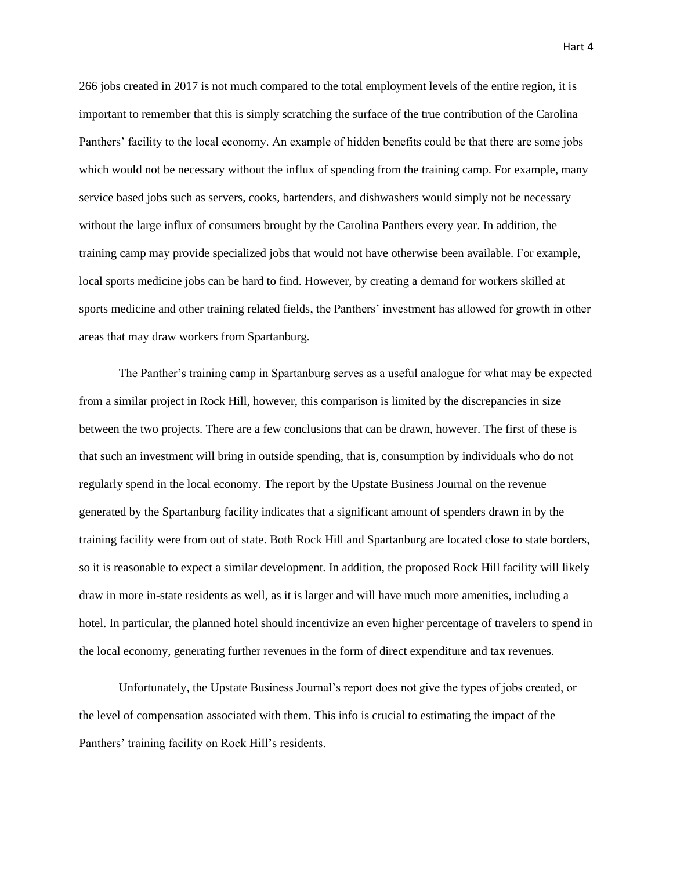266 jobs created in 2017 is not much compared to the total employment levels of the entire region, it is important to remember that this is simply scratching the surface of the true contribution of the Carolina Panthers' facility to the local economy. An example of hidden benefits could be that there are some jobs which would not be necessary without the influx of spending from the training camp. For example, many service based jobs such as servers, cooks, bartenders, and dishwashers would simply not be necessary without the large influx of consumers brought by the Carolina Panthers every year. In addition, the training camp may provide specialized jobs that would not have otherwise been available. For example,

local sports medicine jobs can be hard to find. However, by creating a demand for workers skilled at sports medicine and other training related fields, the Panthers' investment has allowed for growth in other areas that may draw workers from Spartanburg.

The Panther's training camp in Spartanburg serves as a useful analogue for what may be expected from a similar project in Rock Hill, however, this comparison is limited by the discrepancies in size between the two projects. There are a few conclusions that can be drawn, however. The first of these is that such an investment will bring in outside spending, that is, consumption by individuals who do not regularly spend in the local economy. The report by the Upstate Business Journal on the revenue generated by the Spartanburg facility indicates that a significant amount of spenders drawn in by the training facility were from out of state. Both Rock Hill and Spartanburg are located close to state borders, so it is reasonable to expect a similar development. In addition, the proposed Rock Hill facility will likely draw in more in-state residents as well, as it is larger and will have much more amenities, including a hotel. In particular, the planned hotel should incentivize an even higher percentage of travelers to spend in the local economy, generating further revenues in the form of direct expenditure and tax revenues.

Unfortunately, the Upstate Business Journal's report does not give the types of jobs created, or the level of compensation associated with them. This info is crucial to estimating the impact of the Panthers' training facility on Rock Hill's residents.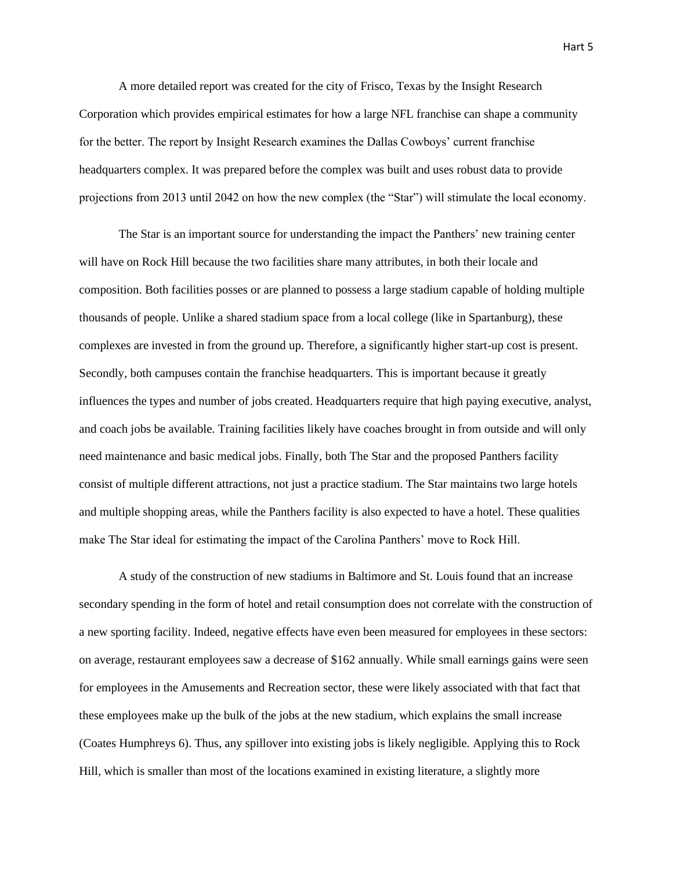A more detailed report was created for the city of Frisco, Texas by the Insight Research Corporation which provides empirical estimates for how a large NFL franchise can shape a community for the better. The report by Insight Research examines the Dallas Cowboys' current franchise headquarters complex. It was prepared before the complex was built and uses robust data to provide projections from 2013 until 2042 on how the new complex (the "Star") will stimulate the local economy.

The Star is an important source for understanding the impact the Panthers' new training center will have on Rock Hill because the two facilities share many attributes, in both their locale and composition. Both facilities posses or are planned to possess a large stadium capable of holding multiple thousands of people. Unlike a shared stadium space from a local college (like in Spartanburg), these complexes are invested in from the ground up. Therefore, a significantly higher start-up cost is present. Secondly, both campuses contain the franchise headquarters. This is important because it greatly influences the types and number of jobs created. Headquarters require that high paying executive, analyst, and coach jobs be available. Training facilities likely have coaches brought in from outside and will only need maintenance and basic medical jobs. Finally, both The Star and the proposed Panthers facility consist of multiple different attractions, not just a practice stadium. The Star maintains two large hotels and multiple shopping areas, while the Panthers facility is also expected to have a hotel. These qualities make The Star ideal for estimating the impact of the Carolina Panthers' move to Rock Hill.

A study of the construction of new stadiums in Baltimore and St. Louis found that an increase secondary spending in the form of hotel and retail consumption does not correlate with the construction of a new sporting facility. Indeed, negative effects have even been measured for employees in these sectors: on average, restaurant employees saw a decrease of \$162 annually. While small earnings gains were seen for employees in the Amusements and Recreation sector, these were likely associated with that fact that these employees make up the bulk of the jobs at the new stadium, which explains the small increase (Coates Humphreys 6). Thus, any spillover into existing jobs is likely negligible. Applying this to Rock Hill, which is smaller than most of the locations examined in existing literature, a slightly more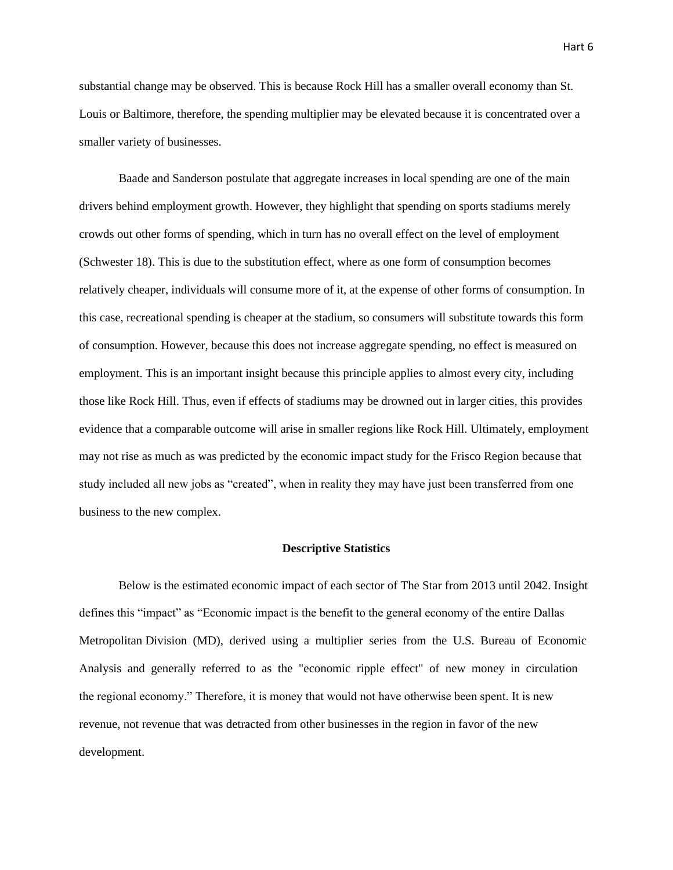substantial change may be observed. This is because Rock Hill has a smaller overall economy than St. Louis or Baltimore, therefore, the spending multiplier may be elevated because it is concentrated over a smaller variety of businesses.

Baade and Sanderson postulate that aggregate increases in local spending are one of the main drivers behind employment growth. However, they highlight that spending on sports stadiums merely crowds out other forms of spending, which in turn has no overall effect on the level of employment (Schwester 18). This is due to the substitution effect, where as one form of consumption becomes relatively cheaper, individuals will consume more of it, at the expense of other forms of consumption. In this case, recreational spending is cheaper at the stadium, so consumers will substitute towards this form of consumption. However, because this does not increase aggregate spending, no effect is measured on employment. This is an important insight because this principle applies to almost every city, including those like Rock Hill. Thus, even if effects of stadiums may be drowned out in larger cities, this provides evidence that a comparable outcome will arise in smaller regions like Rock Hill. Ultimately, employment may not rise as much as was predicted by the economic impact study for the Frisco Region because that study included all new jobs as "created", when in reality they may have just been transferred from one business to the new complex.

## **Descriptive Statistics**

Below is the estimated economic impact of each sector of The Star from 2013 until 2042. Insight defines this "impact" as "Economic impact is the benefit to the general economy of the entire Dallas Metropolitan Division (MD), derived using a multiplier series from the U.S. Bureau of Economic Analysis and generally referred to as the "economic ripple effect" of new money in circulation the regional economy." Therefore, it is money that would not have otherwise been spent. It is new revenue, not revenue that was detracted from other businesses in the region in favor of the new development.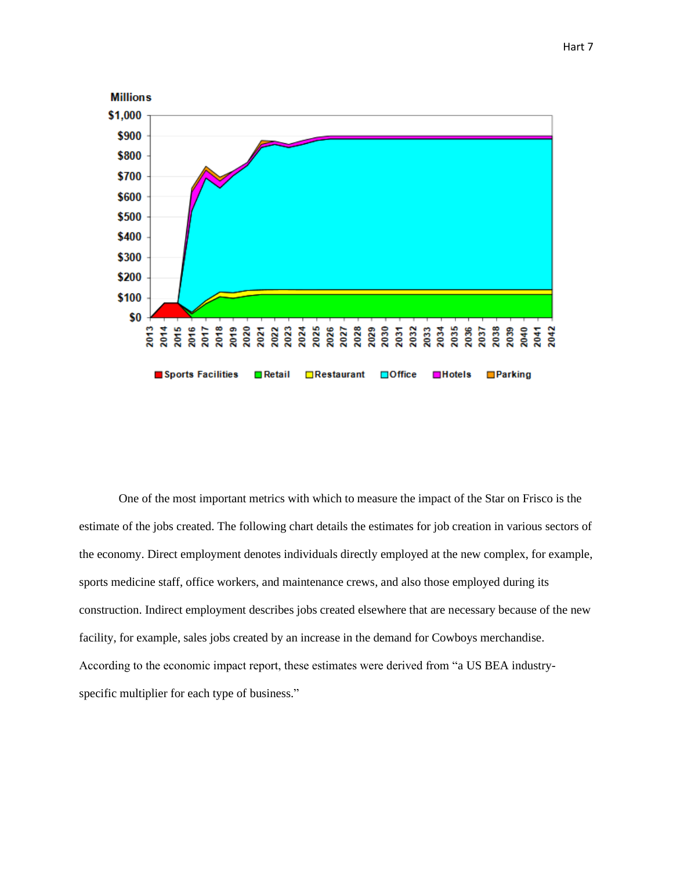

One of the most important metrics with which to measure the impact of the Star on Frisco is the estimate of the jobs created. The following chart details the estimates for job creation in various sectors of the economy. Direct employment denotes individuals directly employed at the new complex, for example, sports medicine staff, office workers, and maintenance crews, and also those employed during its construction. Indirect employment describes jobs created elsewhere that are necessary because of the new facility, for example, sales jobs created by an increase in the demand for Cowboys merchandise. According to the economic impact report, these estimates were derived from "a US BEA industryspecific multiplier for each type of business."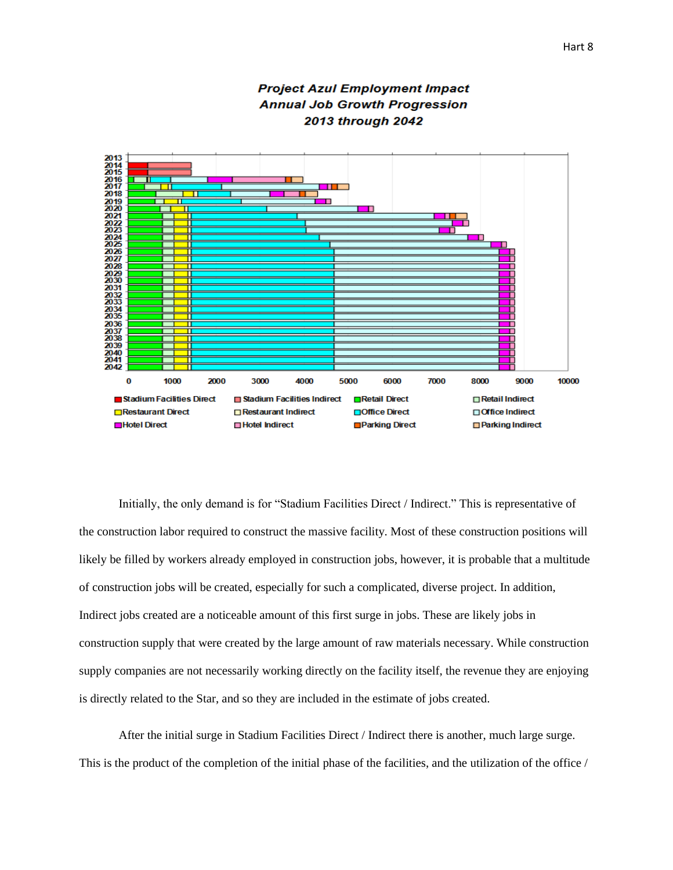

# **Project Azul Employment Impact Annual Job Growth Progression** 2013 through 2042

Initially, the only demand is for "Stadium Facilities Direct / Indirect." This is representative of the construction labor required to construct the massive facility. Most of these construction positions will likely be filled by workers already employed in construction jobs, however, it is probable that a multitude of construction jobs will be created, especially for such a complicated, diverse project. In addition, Indirect jobs created are a noticeable amount of this first surge in jobs. These are likely jobs in construction supply that were created by the large amount of raw materials necessary. While construction supply companies are not necessarily working directly on the facility itself, the revenue they are enjoying is directly related to the Star, and so they are included in the estimate of jobs created.

After the initial surge in Stadium Facilities Direct / Indirect there is another, much large surge. This is the product of the completion of the initial phase of the facilities, and the utilization of the office /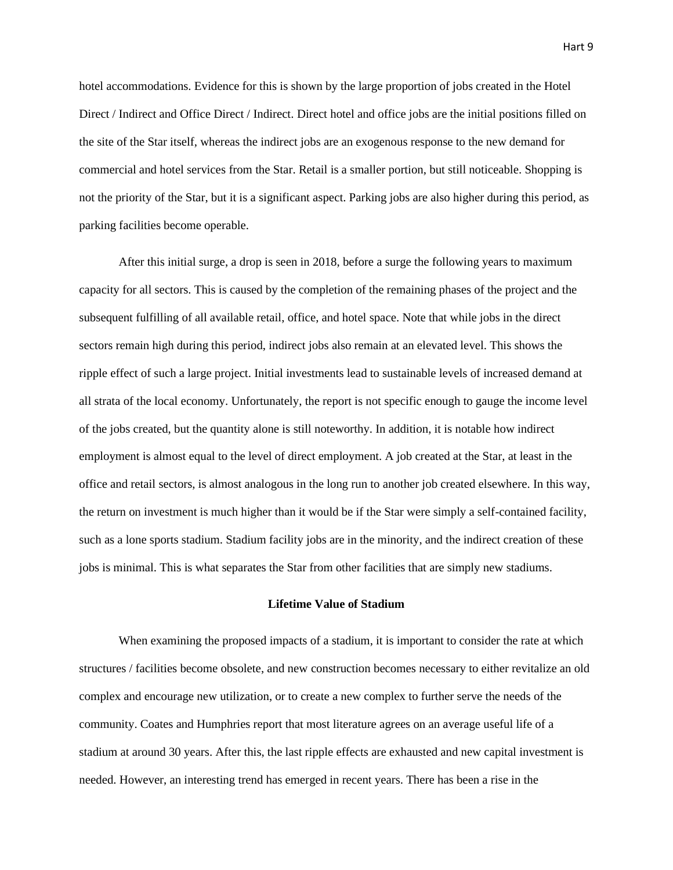hotel accommodations. Evidence for this is shown by the large proportion of jobs created in the Hotel Direct / Indirect and Office Direct / Indirect. Direct hotel and office jobs are the initial positions filled on the site of the Star itself, whereas the indirect jobs are an exogenous response to the new demand for commercial and hotel services from the Star. Retail is a smaller portion, but still noticeable. Shopping is not the priority of the Star, but it is a significant aspect. Parking jobs are also higher during this period, as parking facilities become operable.

After this initial surge, a drop is seen in 2018, before a surge the following years to maximum capacity for all sectors. This is caused by the completion of the remaining phases of the project and the subsequent fulfilling of all available retail, office, and hotel space. Note that while jobs in the direct sectors remain high during this period, indirect jobs also remain at an elevated level. This shows the ripple effect of such a large project. Initial investments lead to sustainable levels of increased demand at all strata of the local economy. Unfortunately, the report is not specific enough to gauge the income level of the jobs created, but the quantity alone is still noteworthy. In addition, it is notable how indirect employment is almost equal to the level of direct employment. A job created at the Star, at least in the office and retail sectors, is almost analogous in the long run to another job created elsewhere. In this way, the return on investment is much higher than it would be if the Star were simply a self-contained facility, such as a lone sports stadium. Stadium facility jobs are in the minority, and the indirect creation of these jobs is minimal. This is what separates the Star from other facilities that are simply new stadiums.

## **Lifetime Value of Stadium**

When examining the proposed impacts of a stadium, it is important to consider the rate at which structures / facilities become obsolete, and new construction becomes necessary to either revitalize an old complex and encourage new utilization, or to create a new complex to further serve the needs of the community. Coates and Humphries report that most literature agrees on an average useful life of a stadium at around 30 years. After this, the last ripple effects are exhausted and new capital investment is needed. However, an interesting trend has emerged in recent years. There has been a rise in the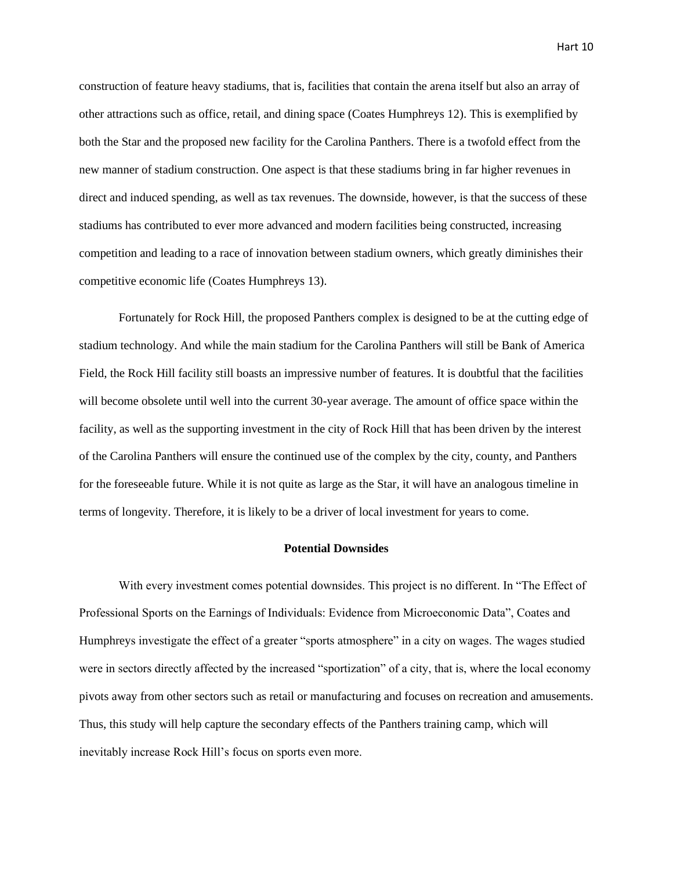construction of feature heavy stadiums, that is, facilities that contain the arena itself but also an array of other attractions such as office, retail, and dining space (Coates Humphreys 12). This is exemplified by both the Star and the proposed new facility for the Carolina Panthers. There is a twofold effect from the new manner of stadium construction. One aspect is that these stadiums bring in far higher revenues in direct and induced spending, as well as tax revenues. The downside, however, is that the success of these stadiums has contributed to ever more advanced and modern facilities being constructed, increasing competition and leading to a race of innovation between stadium owners, which greatly diminishes their competitive economic life (Coates Humphreys 13).

Fortunately for Rock Hill, the proposed Panthers complex is designed to be at the cutting edge of stadium technology. And while the main stadium for the Carolina Panthers will still be Bank of America Field, the Rock Hill facility still boasts an impressive number of features. It is doubtful that the facilities will become obsolete until well into the current 30-year average. The amount of office space within the facility, as well as the supporting investment in the city of Rock Hill that has been driven by the interest of the Carolina Panthers will ensure the continued use of the complex by the city, county, and Panthers for the foreseeable future. While it is not quite as large as the Star, it will have an analogous timeline in terms of longevity. Therefore, it is likely to be a driver of local investment for years to come.

## **Potential Downsides**

With every investment comes potential downsides. This project is no different. In "The Effect of Professional Sports on the Earnings of Individuals: Evidence from Microeconomic Data", Coates and Humphreys investigate the effect of a greater "sports atmosphere" in a city on wages. The wages studied were in sectors directly affected by the increased "sportization" of a city, that is, where the local economy pivots away from other sectors such as retail or manufacturing and focuses on recreation and amusements. Thus, this study will help capture the secondary effects of the Panthers training camp, which will inevitably increase Rock Hill's focus on sports even more.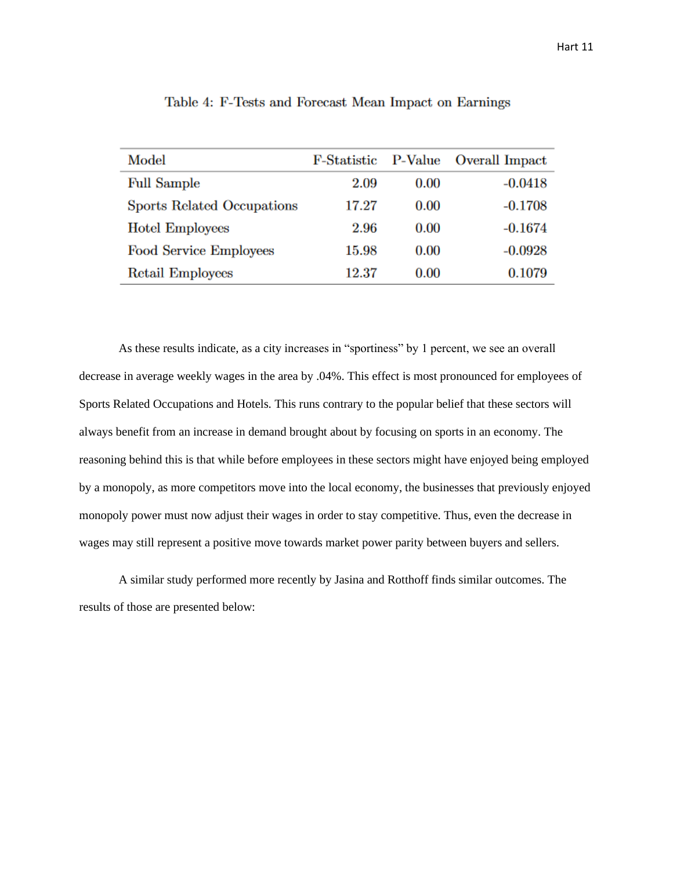| Model                             | <b>F-Statistic</b> | P-Value | Overall Impact |
|-----------------------------------|--------------------|---------|----------------|
| <b>Full Sample</b>                | 2.09               | 0.00    | $-0.0418$      |
| <b>Sports Related Occupations</b> | 17.27              | 0.00    | $-0.1708$      |
| <b>Hotel Employees</b>            | 2.96               | 0.00    | $-0.1674$      |
| Food Service Employees            | 15.98              | 0.00    | $-0.0928$      |
| Retail Employees                  | 12.37              | 0.00    | 0.1079         |

Table 4: F-Tests and Forecast Mean Impact on Earnings

As these results indicate, as a city increases in "sportiness" by 1 percent, we see an overall decrease in average weekly wages in the area by .04%. This effect is most pronounced for employees of Sports Related Occupations and Hotels. This runs contrary to the popular belief that these sectors will always benefit from an increase in demand brought about by focusing on sports in an economy. The reasoning behind this is that while before employees in these sectors might have enjoyed being employed by a monopoly, as more competitors move into the local economy, the businesses that previously enjoyed monopoly power must now adjust their wages in order to stay competitive. Thus, even the decrease in wages may still represent a positive move towards market power parity between buyers and sellers.

A similar study performed more recently by Jasina and Rotthoff finds similar outcomes. The results of those are presented below: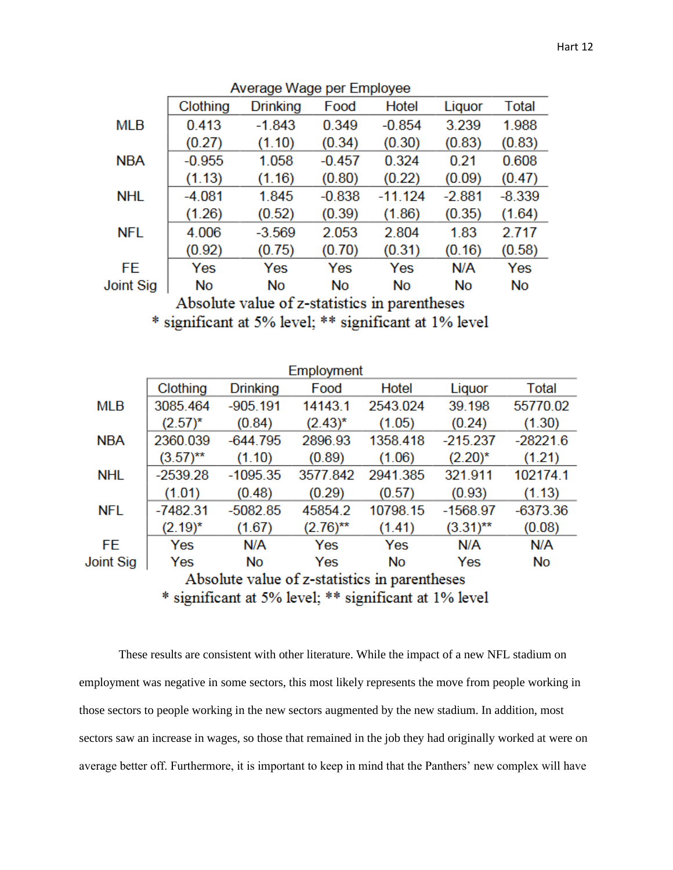| Har |  |  |
|-----|--|--|
|     |  |  |

| Average Wage per Employee                     |          |                 |          |           |          |          |
|-----------------------------------------------|----------|-----------------|----------|-----------|----------|----------|
|                                               | Clothing | <b>Drinking</b> | Food     | Hotel     | Liquor   | Total    |
| <b>MLB</b>                                    | 0.413    | $-1.843$        | 0.349    | $-0.854$  | 3.239    | 1.988    |
|                                               | (0.27)   | (1.10)          | (0.34)   | (0.30)    | (0.83)   | (0.83)   |
| <b>NBA</b>                                    | $-0.955$ | 1.058           | $-0.457$ | 0.324     | 0.21     | 0.608    |
|                                               | (1.13)   | (1.16)          | (0.80)   | (0.22)    | (0.09)   | (0.47)   |
| <b>NHL</b>                                    | $-4.081$ | 1.845           | $-0.838$ | $-11.124$ | $-2.881$ | $-8.339$ |
|                                               | (1.26)   | (0.52)          | (0.39)   | (1.86)    | (0.35)   | (1.64)   |
| <b>NFL</b>                                    | 4.006    | $-3.569$        | 2.053    | 2.804     | 1.83     | 2.717    |
|                                               | (0.92)   | (0.75)          | (0.70)   | (0.31)    | (0.16)   | (0.58)   |
| <b>FE</b>                                     | Yes      | Yes             | Yes      | Yes       | N/A      | Yes      |
| Joint Sig                                     | No       | No              | No       | No        | No       | No       |
| Absolute value of z statistics in perentheces |          |                 |          |           |          |          |

Absolute value of z-statistics in parentheses \* significant at 5% level; \*\* significant at 1% level

| Employment                                            |             |                 |             |           |             |            |
|-------------------------------------------------------|-------------|-----------------|-------------|-----------|-------------|------------|
|                                                       | Clothing    | <b>Drinking</b> | Food        | Hotel     | Liquor      | Total      |
| <b>MLB</b>                                            | 3085.464    | $-905.191$      | 14143.1     | 2543.024  | 39.198      | 55770.02   |
|                                                       | $(2.57)^*$  | (0.84)          | $(2.43)^*$  | (1.05)    | (0.24)      | (1.30)     |
| <b>NBA</b>                                            | 2360.039    | $-644.795$      | 2896.93     | 1358.418  | $-215.237$  | $-28221.6$ |
|                                                       | $(3.57)$ ** | (1.10)          | (0.89)      | (1.06)    | $(2.20)^*$  | (1.21)     |
| <b>NHL</b>                                            | $-2539.28$  | $-1095.35$      | 3577.842    | 2941.385  | 321.911     | 102174.1   |
|                                                       | (1.01)      | (0.48)          | (0.29)      | (0.57)    | (0.93)      | (1.13)     |
| <b>NFL</b>                                            | $-7482.31$  | $-5082.85$      | 45854.2     | 10798.15  | $-1568.97$  | $-6373.36$ |
|                                                       | $(2.19)^*$  | (1.67)          | $(2.76)$ ** | (1.41)    | $(3.31)$ ** | (0.08)     |
| FE.                                                   | Yes         | N/A             | Yes         | Yes       | N/A         | N/A        |
| Joint Sig                                             | Yes         | No              | Yes         | <b>No</b> | Yes         | No         |
| Absolute value of z-statistics in parentheses         |             |                 |             |           |             |            |
| * significant at 5% level; ** significant at 1% level |             |                 |             |           |             |            |

These results are consistent with other literature. While the impact of a new NFL stadium on employment was negative in some sectors, this most likely represents the move from people working in those sectors to people working in the new sectors augmented by the new stadium. In addition, most sectors saw an increase in wages, so those that remained in the job they had originally worked at were on average better off. Furthermore, it is important to keep in mind that the Panthers' new complex will have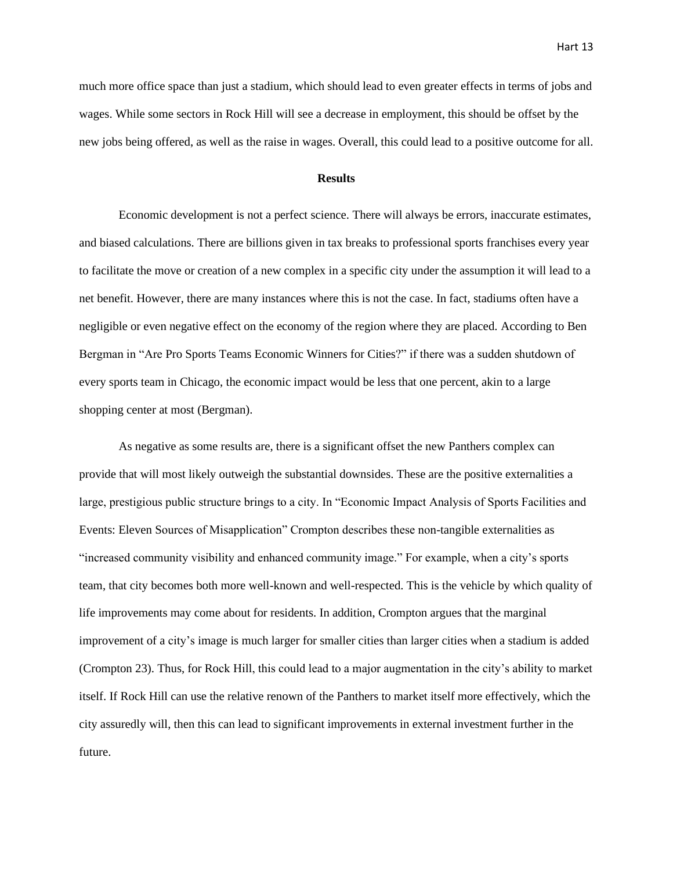much more office space than just a stadium, which should lead to even greater effects in terms of jobs and wages. While some sectors in Rock Hill will see a decrease in employment, this should be offset by the new jobs being offered, as well as the raise in wages. Overall, this could lead to a positive outcome for all.

#### **Results**

Economic development is not a perfect science. There will always be errors, inaccurate estimates, and biased calculations. There are billions given in tax breaks to professional sports franchises every year to facilitate the move or creation of a new complex in a specific city under the assumption it will lead to a net benefit. However, there are many instances where this is not the case. In fact, stadiums often have a negligible or even negative effect on the economy of the region where they are placed. According to Ben Bergman in "Are Pro Sports Teams Economic Winners for Cities?" if there was a sudden shutdown of every sports team in Chicago, the economic impact would be less that one percent, akin to a large shopping center at most (Bergman).

As negative as some results are, there is a significant offset the new Panthers complex can provide that will most likely outweigh the substantial downsides. These are the positive externalities a large, prestigious public structure brings to a city. In "Economic Impact Analysis of Sports Facilities and Events: Eleven Sources of Misapplication" Crompton describes these non-tangible externalities as "increased community visibility and enhanced community image." For example, when a city's sports team, that city becomes both more well-known and well-respected. This is the vehicle by which quality of life improvements may come about for residents. In addition, Crompton argues that the marginal improvement of a city's image is much larger for smaller cities than larger cities when a stadium is added (Crompton 23). Thus, for Rock Hill, this could lead to a major augmentation in the city's ability to market itself. If Rock Hill can use the relative renown of the Panthers to market itself more effectively, which the city assuredly will, then this can lead to significant improvements in external investment further in the future.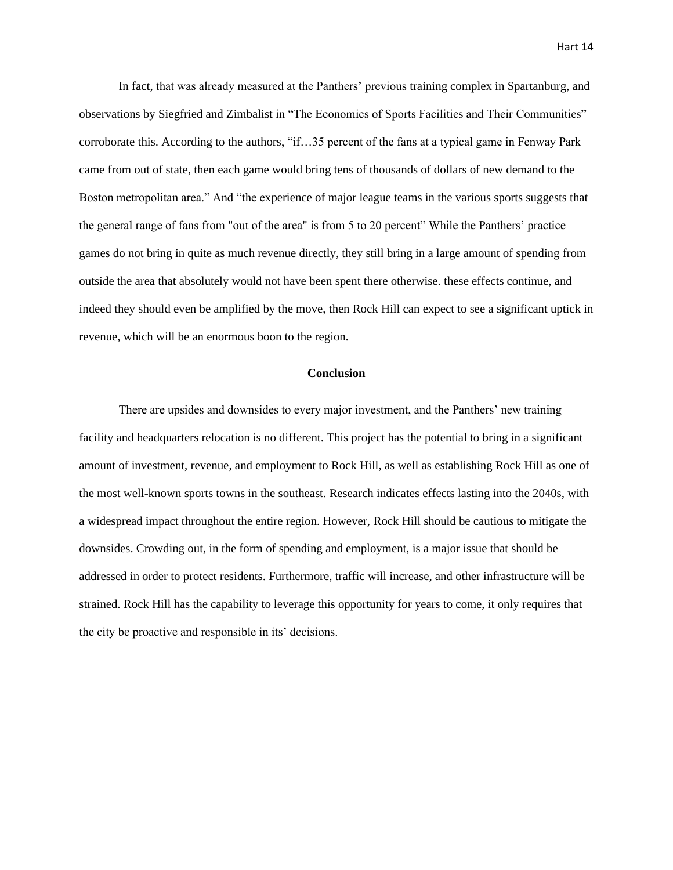In fact, that was already measured at the Panthers' previous training complex in Spartanburg, and observations by Siegfried and Zimbalist in "The Economics of Sports Facilities and Their Communities" corroborate this. According to the authors, "if…35 percent of the fans at a typical game in Fenway Park came from out of state, then each game would bring tens of thousands of dollars of new demand to the Boston metropolitan area." And "the experience of major league teams in the various sports suggests that the general range of fans from "out of the area" is from 5 to 20 percent" While the Panthers' practice games do not bring in quite as much revenue directly, they still bring in a large amount of spending from outside the area that absolutely would not have been spent there otherwise. these effects continue, and indeed they should even be amplified by the move, then Rock Hill can expect to see a significant uptick in revenue, which will be an enormous boon to the region.

### **Conclusion**

There are upsides and downsides to every major investment, and the Panthers' new training facility and headquarters relocation is no different. This project has the potential to bring in a significant amount of investment, revenue, and employment to Rock Hill, as well as establishing Rock Hill as one of the most well-known sports towns in the southeast. Research indicates effects lasting into the 2040s, with a widespread impact throughout the entire region. However, Rock Hill should be cautious to mitigate the downsides. Crowding out, in the form of spending and employment, is a major issue that should be addressed in order to protect residents. Furthermore, traffic will increase, and other infrastructure will be strained. Rock Hill has the capability to leverage this opportunity for years to come, it only requires that the city be proactive and responsible in its' decisions.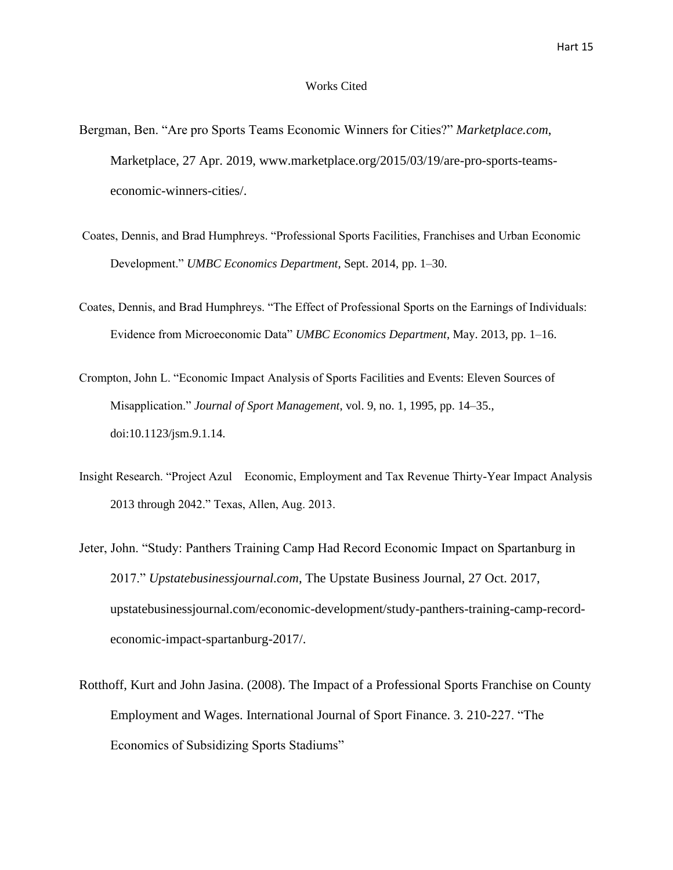## Works Cited

- Bergman, Ben. "Are pro Sports Teams Economic Winners for Cities?" *Marketplace.com*, Marketplace, 27 Apr. 2019, www.marketplace.org/2015/03/19/are-pro-sports-teamseconomic-winners-cities/.
- Coates, Dennis, and Brad Humphreys. "Professional Sports Facilities, Franchises and Urban Economic Development." *UMBC Economics Department*, Sept. 2014, pp. 1–30.
- Coates, Dennis, and Brad Humphreys. "The Effect of Professional Sports on the Earnings of Individuals: Evidence from Microeconomic Data" *UMBC Economics Department*, May. 2013, pp. 1–16.
- Crompton, John L. "Economic Impact Analysis of Sports Facilities and Events: Eleven Sources of Misapplication." *Journal of Sport Management*, vol. 9, no. 1, 1995, pp. 14–35., doi:10.1123/jsm.9.1.14.
- Insight Research. "Project Azul Economic, Employment and Tax Revenue Thirty-Year Impact Analysis 2013 through 2042." Texas, Allen, Aug. 2013.
- Jeter, John. "Study: Panthers Training Camp Had Record Economic Impact on Spartanburg in 2017." *Upstatebusinessjournal.com*, The Upstate Business Journal, 27 Oct. 2017, upstatebusinessjournal.com/economic-development/study-panthers-training-camp-recordeconomic-impact-spartanburg-2017/.
- Rotthoff, Kurt and John Jasina. (2008). The Impact of a Professional Sports Franchise on County Employment and Wages. International Journal of Sport Finance. 3. 210-227. "The Economics of Subsidizing Sports Stadiums"